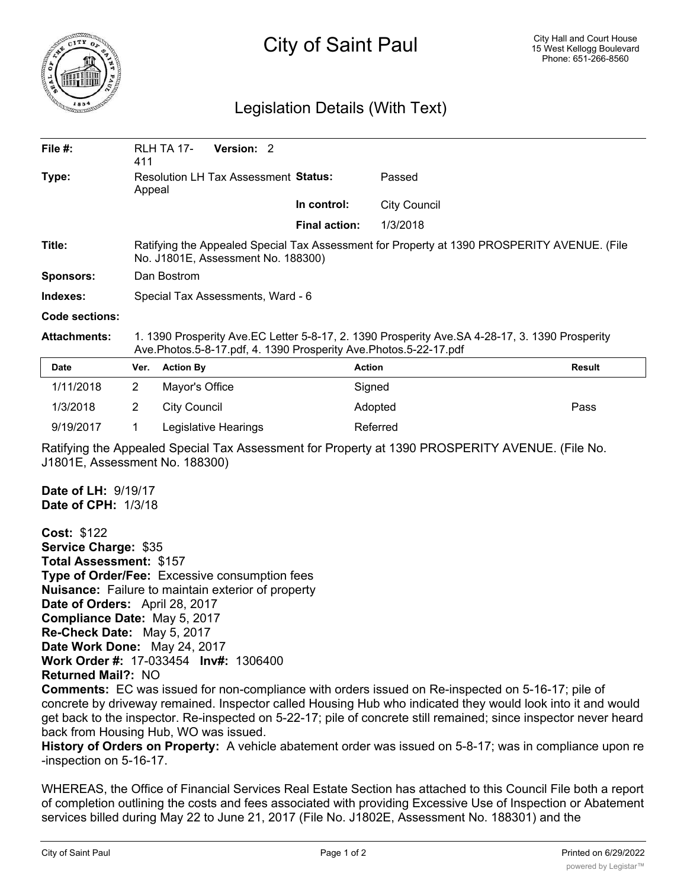

## City of Saint Paul

## Legislation Details (With Text)

| File $#$ :          | 411                                                                                                                                                                | <b>RLH TA 17-</b>   | Version: 2           |                      |                     |               |
|---------------------|--------------------------------------------------------------------------------------------------------------------------------------------------------------------|---------------------|----------------------|----------------------|---------------------|---------------|
| Type:               | Resolution LH Tax Assessment Status:<br>Appeal                                                                                                                     |                     |                      | Passed               |                     |               |
|                     |                                                                                                                                                                    |                     |                      | In control:          | <b>City Council</b> |               |
|                     |                                                                                                                                                                    |                     |                      | <b>Final action:</b> | 1/3/2018            |               |
| Title:              | Ratifying the Appealed Special Tax Assessment for Property at 1390 PROSPERITY AVENUE. (File<br>No. J1801E, Assessment No. 188300)                                  |                     |                      |                      |                     |               |
| <b>Sponsors:</b>    | Dan Bostrom                                                                                                                                                        |                     |                      |                      |                     |               |
| Indexes:            | Special Tax Assessments, Ward - 6                                                                                                                                  |                     |                      |                      |                     |               |
| Code sections:      |                                                                                                                                                                    |                     |                      |                      |                     |               |
| <b>Attachments:</b> | 1. 1390 Prosperity Ave.EC Letter 5-8-17, 2. 1390 Prosperity Ave.SA 4-28-17, 3. 1390 Prosperity<br>Ave.Photos.5-8-17.pdf, 4. 1390 Prosperity Ave.Photos.5-22-17.pdf |                     |                      |                      |                     |               |
| Date                | Ver.                                                                                                                                                               | <b>Action By</b>    |                      |                      | <b>Action</b>       | <b>Result</b> |
| 1/11/2018           | $\overline{2}$                                                                                                                                                     | Mayor's Office      |                      |                      | Signed              |               |
| 1/3/2018            | 2                                                                                                                                                                  | <b>City Council</b> |                      |                      | Adopted             | Pass          |
| 9/19/2017           | 1                                                                                                                                                                  |                     | Legislative Hearings |                      | Referred            |               |
|                     |                                                                                                                                                                    |                     |                      |                      |                     |               |

Ratifying the Appealed Special Tax Assessment for Property at 1390 PROSPERITY AVENUE. (File No. J1801E, Assessment No. 188300)

**Date of LH:** 9/19/17 **Date of CPH:** 1/3/18

**Cost:** \$122 **Service Charge:** \$35 **Total Assessment:** \$157 **Type of Order/Fee:** Excessive consumption fees **Nuisance:** Failure to maintain exterior of property **Date of Orders:** April 28, 2017 **Compliance Date:** May 5, 2017 **Re-Check Date:** May 5, 2017 **Date Work Done:** May 24, 2017 **Work Order #:** 17-033454 **Inv#:** 1306400 **Returned Mail?:** NO

**Comments:** EC was issued for non-compliance with orders issued on Re-inspected on 5-16-17; pile of concrete by driveway remained. Inspector called Housing Hub who indicated they would look into it and would get back to the inspector. Re-inspected on 5-22-17; pile of concrete still remained; since inspector never heard back from Housing Hub, WO was issued.

**History of Orders on Property:** A vehicle abatement order was issued on 5-8-17; was in compliance upon re -inspection on 5-16-17.

WHEREAS, the Office of Financial Services Real Estate Section has attached to this Council File both a report of completion outlining the costs and fees associated with providing Excessive Use of Inspection or Abatement services billed during May 22 to June 21, 2017 (File No. J1802E, Assessment No. 188301) and the